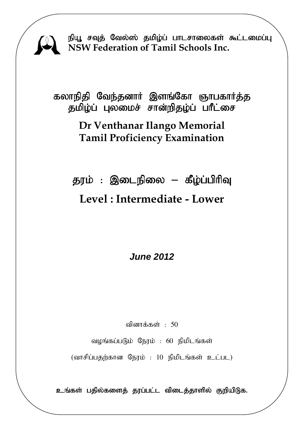

நியூ சவுத் வேல்ஸ் தமிழ்ப் பாடசாலைகள் கூட்டமைப்பு **NSW Federation of Tamil Schools Inc.**

கலாநிதி வேந்தனார் இளங்கோ ஞாபகார்த்த தமிழ்ப் புலமைச் சான்றிதழ்ப் பாீட்சை

# **Dr Venthanar Ilango Memorial Tamil Proficiency Examination**

தரம் : இடைநிலை – கீழ்ப்பிரிவு **Level : Intermediate - Lower** 

*June 2012* 

வினாக்கள் $: 50$ 

வழங்கப்படும் நேரம் : 60 நிமிடங்கள்

 $(\text{diff}$ ப்பதற்கான நேரம் : 10 நிமிடங்கள் உட்பட)

உங்கள் பதில்களைத் தரப்பட்ட விடைத்தாளில் குறியிடுக.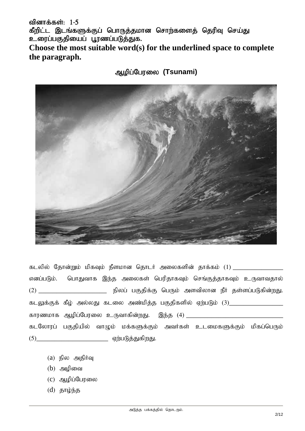வினாக்கள்:  $1-5$ கீறிட்ட இடங்களுக்குப் பொருத்தமான சொற்களைத் தெரிவு செய்து உரைப்பகுதியைப் பூரணப்படுத்துக.

**Choose the most suitable word(s) for the underlined space to complete the paragraph.** 

### ஆழிப்பேரலை (Tsunami)



கடலில் தோன்றும் மிகவும் நீளமான தொடர் அலைகளின் தாக்கம் (1) எனப்படும். பொதுவாக இந்த அலைகள் பெரிதாகவும் செங்குத்தாகவும் உருவாவதால் (2) \_\_\_\_\_\_\_\_\_\_\_\_\_\_\_\_\_\_\_ epyg; gFjpf;F ngUk; mstpyhd ePH js;sg;gLfpd;wJ. கடலுக்குக் கீழ் அல்லது கடலை அண்மித்த பகுதிகளில் ஏற்படும் (3)\_\_\_\_\_\_\_\_\_\_\_\_\_\_\_\_\_\_\_\_\_ fhuzkhf Mopg;Nguiy cUthfpd;wJ. ,e;j (4) \_\_\_\_\_\_\_\_\_\_\_\_\_\_\_\_\_\_\_\_\_\_\_\_\_\_\_ கடலோரப் பகுதியில் வாழும் மக்களுக்கும் அவர்கள் உடமைகளுக்கும் மிகப்பெரும் (5)\_\_\_\_\_\_\_\_\_\_\_\_\_\_\_\_\_\_\_\_ Vw;gLj;JfpwJ.

- $(a)$  நில அதிர்வு
- $(b)$  அழிவை
- (c) ஆழிப்பேரலை
- $(d)$  தாழ்ந்த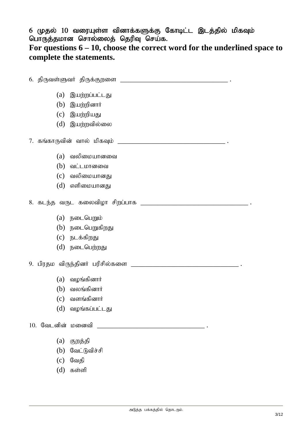6 முதல் 10 வரையுள்ள வினாக்களுக்கு கோடிட்ட இடத்தில் மிகவும் பொருத்தமான சொல்லைத் தெரிவு செய்க. **For questions 6 – 10, choose the correct word for the underlined space to complete the statements.** 

|                   | (a) இயற்றப்பட்டது                                                                      |  |  |  |
|-------------------|----------------------------------------------------------------------------------------|--|--|--|
|                   | $(b)$ இயற்றினார்                                                                       |  |  |  |
|                   | $(c)$ இயற்றியது                                                                        |  |  |  |
|                   | (d) இயற்றவில்லை                                                                        |  |  |  |
|                   |                                                                                        |  |  |  |
|                   | $(a)$ வலிமையானவை                                                                       |  |  |  |
|                   | (b) வட்டமானவை                                                                          |  |  |  |
|                   | (c) வலிமையானது                                                                         |  |  |  |
|                   | (d) எளிமையானது                                                                         |  |  |  |
|                   |                                                                                        |  |  |  |
|                   | (a) நடைபெறும்                                                                          |  |  |  |
|                   | (b) நடைபெறுகிறது                                                                       |  |  |  |
|                   | (c) நடக்கிறது                                                                          |  |  |  |
|                   | (d) நடைபெற்றது                                                                         |  |  |  |
|                   | 9. பிரதம விருந்தினர் பரிசில்களை<br><u> 1990 - Johann Barbara, martin amerikan basa</u> |  |  |  |
|                   | $(a)$ வழங்கினார்                                                                       |  |  |  |
| (b)               | வலங்கினார்                                                                             |  |  |  |
| (c)               | வளங்கினார்                                                                             |  |  |  |
|                   | (d) வழங்கப்பட்டது                                                                      |  |  |  |
| 10. வேடனின் மனைவி | <u> 1980 - Jan Barnett, fransk politiker (d. 1980)</u>                                 |  |  |  |
| (a)               | குறத்தி                                                                                |  |  |  |
| (b)               | வேட்டுவிச்சி                                                                           |  |  |  |
| (c)               | வேதி                                                                                   |  |  |  |

 $(d)$  கள்ளி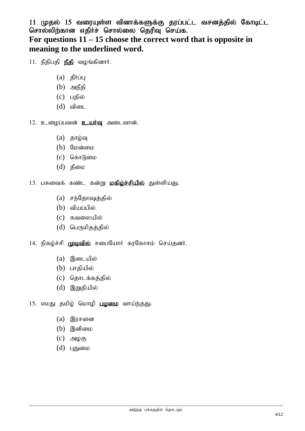11 முதல் 15 வரையுள்ள வினாக்களுக்கு தரப்பட்ட வசனத்தில் கோடிட்ட சொல்லிற்கான எதிர்ச் சொல்லை தெரிவு செய்க.

**For questions 11 – 15 choose the correct word that is opposite in meaning to the underlined word.** 

11. நீதிபதி **நீதி** வழங்கினார்.

- $(a)$   $\delta$ *f*i $\dot{\mathbf{u}}$
- $(b)$  அநீதி
- $(c)$  பதில்
- $(d)$  விடை
- 12. உழைப்பவன் **உயர்வு** அடைவான்.
	- $(a)$  காழ்வு
	- $(b)$  மேன்மை
	- $(c)$  கொடுமை
	- $(d)$  தீமை

13. பசுவைக் கண்ட கன்று **மகிழ்ச்சியில்** துள்ளியது.

- $(a)$  சந்தோஷத்தில்
- $(b)$  வியப்பில்
- $(c)$  கவலையில்
- $(d)$  பெருமிதத்தில்

14. நிகழ்ச்சி முடிவில் சபையோர் கரகோசம் செய்தனர்.

- $(a)$  இடையில்
- $(b)$  பாகியில்
- $(c)$  தொடக்கத்தில்
- $(d)$  இறுதியில்

#### 15. எமது தமிழ் மொழி பழமை வாய்ந்தது.

- $(a)$  இரசனை
- $(b)$  இனிமை
- $(c)$  அழகு
- $(d)$  புதுமை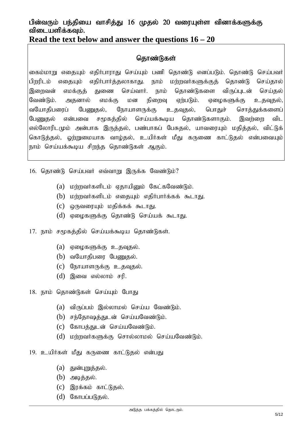### பின்வரும் பந்தியை வாசித்து 16 முதல் 20 வரையுள்ள வினாக்களுக்கு விடையளிக்கவும்.

### **Read the text below and answer the questions 16 – 20**

### தொண்டுகள்

கைம்மாறு எதையும் எதிர்பாராது செய்யும் பணி தொண்டு எனப்படும். தொண்டு செய்பவர் பிறரிடம் எதையும் எதிர்பார்த்தலாகாது. நாம் மற்றவர்களுக்குத் தொண்டு செய்தால் இறைவன் எமக்குத் துணை செய்வார். நாம் தொண்டுகளை விருப்புடன் செய்தல் வேண்டும். அதனால் எமக்கு மன நிறைவு ஏற்படும். ஏழைகளுக்கு உதவுதல், வயோதிபரைப் பேணுதல், நோயாளருக்கு உதவுதல், பொதுச் சொக்குக்களைப் பேணுதல் என்பவை சமூகத்தில் செய்யக்கூடிய தொண்டுகளாகும். இவற்றை விட எல்லோரிடமும் அன்பாக இருத்தல், பண்பாகப் பேசுதல், யாவரையும் மதித்தல், விட்டுக் கொடுத்தல், ஓற்றுமையாக வாழ்தல், உயிர்கள் மீது கருணை காட்டுதல் என்பவையும் நாம் செய்யக்கூடிய சிறந்த தொண்டுகள் ஆகும்.

 $16.$  தொண்டு செய்பவர் எவ்வாறு இருக்க வேண்டும்?

- $(a)$  மற்றவர்களிடம் ஏதாயினும் கேட்கவேண்டும்.
- $(b)$  மற்றவர்களிடம் எதையும் எதிர்பார்க்கக் கூடாது.
- $(c)$  ஒருவரையும் மதிக்கக் கூடாது.
- $(d)$  ஏமைகளுக்கு தொண்டு செய்யக் கூடாது.

17. நாம் சமூகத்தில் செய்யக்கூடிய தொண்டுகள்.

- $(a)$  ஏழைகளுக்கு உதவுதல்.
- $(b)$  வயோதிபரை பேணுதல்.
- $(c)$  நோயாளருக்கு உதவுதல்.
- $(d)$  இவை எல்லாம் சரி.

18. நாம் தொண்டுகள் செய்யும் போது

- $(a)$  விருப்பம் இல்லாமல் செய்ய வேண்டும்.
- $(b)$  சந்தோஷக்குடன் செய்யவேண்டும்.
- (c) கோபத்துடன் செய்யவேண்டும்.
- $(d)$  மற்றவர்களுக்கு சொல்லாமல் செய்யவேண்டும்.
- 19. உயிர்கள் மீது கருணை காட்டுதல் என்பது
	- $(a)$  துன்புறுத்தல்.
	- $(b)$  அடித்தல்.
	- $(c)$  இரக்கம் காட்டுதல்.
	- $(d)$  கோபப்படுகல்.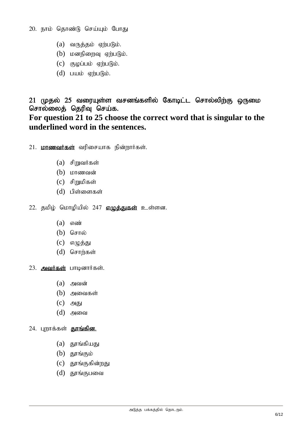20. நாம் தொண்டு செய்யும் போது

- $(a)$  வருத்தம் ஏற்படும்.
- $(b)$  மனநிறைவு ஏற்படும்.
- $(c)$  குழப்பம் ஏற்படும்.
- $(d)$  பயம் ஏற்படும்.

### $21$  (முதல்  $25$  வரையுள்ள வசனங்களில் கோடிட்ட சொல்லிற்கு ஒருமை சொல்லைத் தெரிவு செய்க. **For question 21 to 25 choose the correct word that is singular to the underlined word in the sentences.**

- $21.$  மாணவர்கள் வரிசையாக நின்றார்கள்.
	- $(a)$  சிறுவர்கள்
	- $(b)$  மாணவன்
	- $(c)$  சிறுமிகள்
	- $(d)$  பிள்ளைகள்
- 22. தமிழ் மொழியில் 247 **எழுத்துகள்** உள்ளன.
	- $(a)$  எண்
	- $(b)$  சொல்
	- $(c)$  எழுத்து
	- $(d)$  சொர்கள்
- 23. **அவர்கள்** பாடினார்கள்.
	- $(a)$  அவன்
	- $(b)$  அவைகள்
	- $(c)$  அது
	- $(d)$  அவை
- 24. புறாக்கள் **தாங்கின.** 
	- $(a)$  தூங்கியது
	- $(b)$  தூங்கும்
	- (c) தூங்குகின்றது
	- $(d)$  தூங்குபவை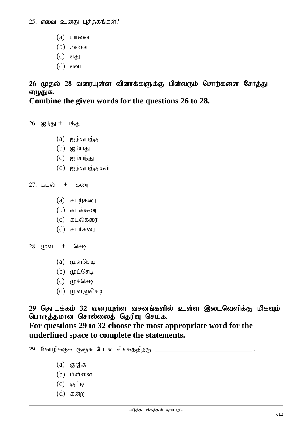- $(a)$  யாவை
- $(b)$  அவை
- $(c)$  எது
- $(d)$  எவர்

# 26 முதல் 28 வரையுள்ள வினாக்களுக்கு பின்வரும் சொற்களை சேர்த்து எழுதுக.

**Combine the given words for the questions 26 to 28.** 

- $26.$  ஐந்து  $+$  பத்து
	- $(a)$  ஐந்துபத்து
	- $(b)$   $\omega_{\text{H}}$
	- $(c)$  ஐம்பந்து
	- $(d)$  ஐந்துபத்துகள்
- $27.$  கடல்  $+$  கரை
	- $(a)$   $B$  $L$   $\dot{B}$  $B$  $S$  $I$  $J$  $J$
	- $(b)$   $b$ டக்கரை
	- $(c)$  கடல்கரை
	- $(d)$  கடர்கரை
- 28.  $(\mu \circ \pi + \sigma) \circ \mu$ 
	- $(a)$  ( $\mu$ ள்செடி
	- $(b)$  (pi  $\bigcirc$   $\bigcirc$   $\bigcirc$
	- $(c)$  ( $\mu$ ச்செடி
	- $(d)$  ( $\mu$ ள்ளுசெடி

 $29$  தொடக்கம்  $32$  வரையுள்ள வசனங்களில் உள்ள இடைவெளிக்கு மிகவும் பொருத்தமான சொல்லைத் தெரிவு செய்க. **For questions 29 to 32 choose the most appropriate word for the underlined space to complete the statements.** 

29. Nfhopf;Ff; FQ;R Nghy; rpq;fj;jpw;F \_\_\_\_\_\_\_\_\_\_\_\_\_\_\_\_\_\_\_\_\_\_\_\_\_\_\_ .

- $(a)$  குஞ்சு
- $(b)$  பிள்ளை
- $(c)$  (5 $L \downarrow Q$
- $(d)$  கன்று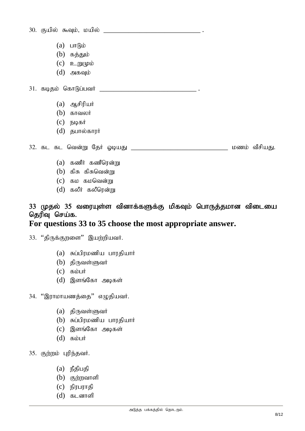- $(a)$   $L\n$
- $(b)$  சுத்தும்
- $(c)$  <u>உறு</u>மும்
- $(d)$  அகவும்

31. கடிதம் கொடுப்பவர்

- $(a)$  ஆசிரியர்
- $(b)$  காவலர்
- $(c)$  நடிகர்
- $(d)$  தபால்காரர்

| 32 | கூ | ות״<br>___ | പ്രഖങ്ങന്ദ്ര | கோ | வெ<br>~* |  | மணம | 6) |
|----|----|------------|--------------|----|----------|--|-----|----|
|----|----|------------|--------------|----|----------|--|-----|----|

- $(a)$  கணீர் கணீரென்று
- $(b)$  கிசு கிசுவென்று
- $(c)$  கம கமவென்று
- $(d)$  கலீர் கலீரென்று

# 33 முதல் 35 வரையுள்ள வினாக்களுக்கு மிகவும் பொருத்தமான விடையை தெரிவு செய்க.

### **For questions 33 to 35 choose the most appropriate answer.**

- 33. "திருக்குறளை" இயற்றியவர்.
	- $(a)$  சுப்பிரமணிய பாரதியார்
	- $(b)$  திருவள்ளுவர்
	- $(c)$   $\delta$ <sub>5</sub> $\mu$  $\beta$  $\mu$
	- $(d)$  இளங்கோ அடிகள்
- 34. "இராமாயணத்தை" எழுதியவர்.
	- $(a)$  திருவள்ளுவர்
	- $(b)$  சுப்பிரமணிய பாரதியார்
	- $(c)$  இளங்கோ அடிகள்
	- $(d)$   $\delta$  abunt
- 35. குற்றம் புரிந்தவர்.
	- $(a)$  நீதிபதி
	- $(b)$  குற்றவாளி
	- $(c)$  நிரபராதி
	- $(d)$  கடனாளி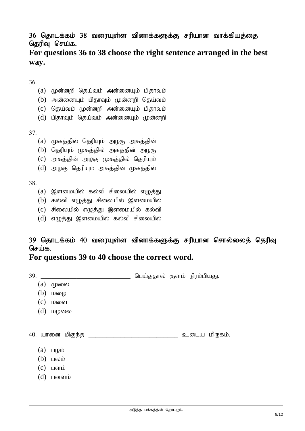### 36 தொடக்கம் 38 வரையுள்ள வினாக்களுக்கு சரியான வாக்கியத்தை தெரிவு செய்க. **For questions 36 to 38 choose the right sentence arranged in the best**

### **way.**

#### 36.

- $(a)$  முன்னறி தெய்வம் அன்னையும் பிதாவும்
- $(b)$  அன்னையும் பிதாவும் முன்னறி தெய்வம்
- (c) தெய்வம் முன்னறி அன்னையும் பிதாவும்
- $(d)$  பிதாவும் தெய்வம் அன்னையும் முன்னறி

#### 37.

- $(a)$  (முகத்தில் தெரியும் அழகு அகத்தின்
- $(b)$  தெரியும் முகத்தில் அகத்தின் அழகு
- $(c)$  அகத்தின் அழகு முகத்தில் தெரியும்
- $(d)$  அழகு தெரியும் அகத்தின் முகத்தில்

#### 38.

- $(a)$  இளமையில் கல்வி சிலையில் எழுத்து
- $(b)$  கல்வி எழுத்து சிலையில் இளமையில்
- $(c)$  சிலையில் எழுத்து இளமையில் கல்வி
- $(d)$  எழுத்து இளமையில் கல்வி சிலையில்

### 39 தொடக்கம் 40 வரையுள்ள வினாக்களுக்கு சரியான சொல்லைத் தெரிவு செய்க.

# **For questions 39 to 40 choose the correct word.**

| 39.                                           | பெய்ததால் குளம் நிரம்பியது. |               |
|-----------------------------------------------|-----------------------------|---------------|
| (a)<br>முலை                                   |                             |               |
| (b)<br>மழை                                    |                             |               |
| (c)<br>மளை                                    |                             |               |
| $(d)$ மழலை                                    |                             |               |
| 40. யானை மிகுந்த<br>(a)<br>பழம்<br>$(b)$ பலம் |                             | உடைய மிருகம். |
| $(c)$ பளம்                                    |                             |               |
| (d)<br>பவளம்                                  |                             |               |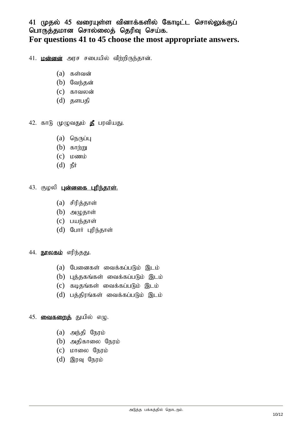## 41 முதல் 45 வரையுள்ள வினாக்களில் கோடிட்ட சொல்லுக்குப் பொருத்தமான சொல்லைத் தெரிவு செய்க.

### **For questions 41 to 45 choose the most appropriate answers.**

- 41. **மன்னன்** அரச சபையில் வீற்றிருந்தான்.
	- $(a)$   $\sigma$ <sub>5</sub> $\sigma$ <sub>50</sub> $\sigma$ <sub>50</sub> $\sigma$ <sub>50</sub> $\sigma$ <sub>50</sub> $\sigma$ <sub>50</sub> $\sigma$ <sub>50</sub> $\sigma$ <sub>50</sub> $\sigma$ <sub>50</sub> $\sigma$ <sub>50</sub> $\sigma$ <sub>50</sub> $\sigma$ <sub>50</sub> $\sigma$ <sub>50</sub> $\sigma$ <sub>50</sub> $\sigma$ <sub>50</sub> $\sigma$ <sub>50</sub> $\sigma$ <sub>50</sub> $\sigma$ <sub>50</sub> $\sigma$ <sub>50</sub> $\sigma$ <sub>50</sub> $\sigma$ <sub>50</sub> $\sigma$ <sub>50</sub> $\sigma$ <sub>50</sub> $\sigma$ <sub>50</sub> $\sigma$ <sub>50</sub> $\sigma$ <sub>50</sub> $\sigma$ <sub>50</sub>
	- $(b)$  வேந்தன்
	- $(c)$  காவலன்
	- $(d)$  தளபதி
- $42.$  காடு முழுவதும் தீ பரவியது.
	- $(a)$   $\mathbb{G}_{\mathbb{D}}$   $\mathbb{G}_{\mathbb{D}}$   $\mathbb{D}_{\mathbb{L}}$
	- $(b)$  காற்று
	- $(c)$   $logmin$
	- $(d)$   $\mathbb{f}$ fr

#### $43.$  குழலி புன்னகை பரிந்தாள்.

- $(a)$  சிரித்தாள்
- $(b)$  அழுதாள்
- $(c)$  பயந்தாள்
- $(d)$  போர் புரிந்தாள்

44. **நூலகம்** எரிந்தது.

- $(a)$  பேனைகள் வைக்கப்படும் இடம்
- $(b)$  புத்தகங்கள் வைக்கப்படும் இடம்
- $(c)$  கடிதங்கள் வைக்கப்படும் இடம்
- $(d)$  பத்திரங்கள் வைக்கப்படும் இடம்

#### $45.$  வைகளைக் துயில் எழு.

- $(a)$  அந்தி நேரம்
- $(b)$  அதிகாலை நேரம்
- $(c)$  மாலை நேரம்
- $(d)$  இரவு நேரம்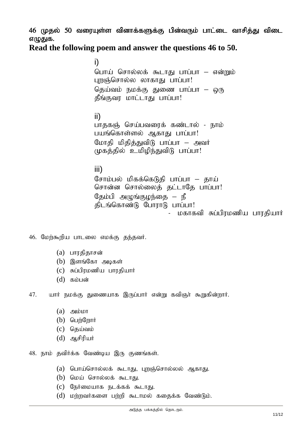46 (முதல் 50 வரையுள்ள வினாக்களுக்கு பின்வரும் பாட்டை வாசித்து விடை எழுதுக.

**Read the following poem and answer the questions 46 to 50.** 

i) பொய் சொல்லக் கூடாது பாப்பா – என்றும் புறஞ்சொல்ல லாகாது பாப்பா! தெய்வம் நமக்கு துணை பாப்பா – ஒரு தீங்குவர மாட்டாது பாப்பா!

### ii)

பாதகஞ் செய்பவரைக் கண்டால் - நாம் பயங்கொள்ளல் ஆகாது பாப்பா! மோதி மிதித்துவிடு பாப்பா – அவர் (மகத்தில் உமிழிந்துவிடு பாப்பா!

### iii)

சோம்பல் மிகக்கெடுகி பாப்பா – காய் சொன்ன சொல்லைத் தட்டாதே பாப்பா! தேம்பி அழுங்குழந்தை — நீ<br>கிடங்கொண்டு போராடு பாப்பா! - மகாகவி சுப்பிரமணிய பாரதியார்

46. மேற்கூறிய பாடலை எமக்கு தந்தவர்.

- $(a)$  பாரதிதாசன்
- $(b)$  இளங்கோ அடிகள்
- $(c)$  சுப்பிரமணிய பாரதியார்
- $(d)$  கம்பன்

47. பார் நமக்கு துணையாக இருப்பார் என்று கவிஞர் கூறுகின்றார்.

- $(a)$   $\leftrightarrow$
- $(b)$  பெற்றோர்
- $(c)$  தெய்வம்
- $(d)$  ஆசிரியர்

48. நாம் தவிர்க்க வேண்டிய இரு குணங்கள்.

- (a) பொய்சொல்லக் கூடாது, புறஞ்சொல்லல் ஆகாது.
- $(b)$  மெய் சொல்லக் கூடாது.
- $(c)$  நேர்மையாக நடக்கக் கூடாது.
- $(d)$  மற்றவர்களை பற்றி கூடாமல் கதைக்க வேண்டும்.